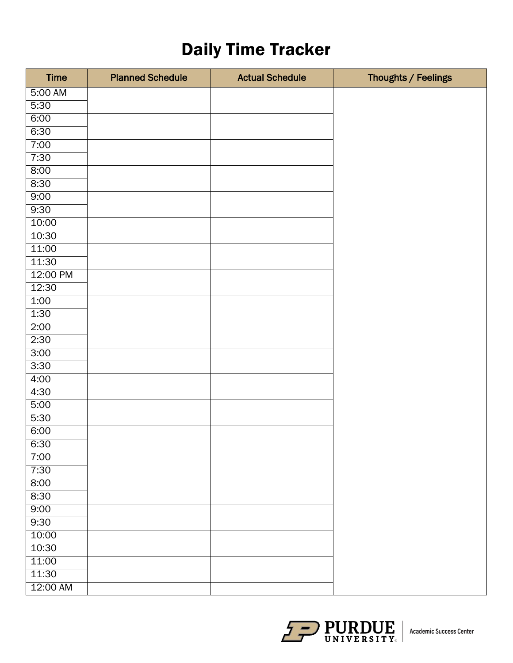## Daily Time Tracker

| <b>Time</b> | <b>Planned Schedule</b> | <b>Actual Schedule</b> | Thoughts / Feelings |
|-------------|-------------------------|------------------------|---------------------|
| 5:00 AM     |                         |                        |                     |
| 5:30        |                         |                        |                     |
| 6:00        |                         |                        |                     |
| 6:30        |                         |                        |                     |
| 7:00        |                         |                        |                     |
| 7:30        |                         |                        |                     |
| 8:00        |                         |                        |                     |
| 8:30        |                         |                        |                     |
| 9:00        |                         |                        |                     |
| 9:30        |                         |                        |                     |
| 10:00       |                         |                        |                     |
| 10:30       |                         |                        |                     |
| 11:00       |                         |                        |                     |
| 11:30       |                         |                        |                     |
| 12:00 PM    |                         |                        |                     |
| 12:30       |                         |                        |                     |
| 1:00        |                         |                        |                     |
| 1:30        |                         |                        |                     |
| 2:00        |                         |                        |                     |
| 2:30        |                         |                        |                     |
| 3:00        |                         |                        |                     |
| 3:30        |                         |                        |                     |
| 4:00        |                         |                        |                     |
| 4:30        |                         |                        |                     |
| 5:00        |                         |                        |                     |
| 5:30        |                         |                        |                     |
| 6:00        |                         |                        |                     |
| 6:30        |                         |                        |                     |
| 7:00        |                         |                        |                     |
| 7:30        |                         |                        |                     |
| 8:00        |                         |                        |                     |
| 8:30        |                         |                        |                     |
| 9:00        |                         |                        |                     |
| 9:30        |                         |                        |                     |
| 10:00       |                         |                        |                     |
| 10:30       |                         |                        |                     |
| 11:00       |                         |                        |                     |
| 11:30       |                         |                        |                     |
| 12:00 AM    |                         |                        |                     |